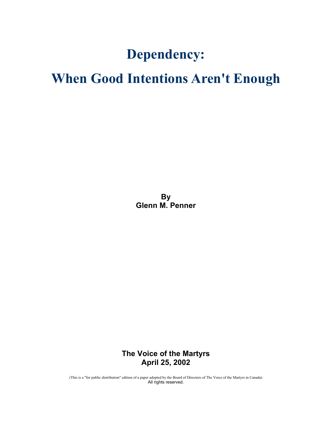# Dependency:

# When Good Intentions Aren't Enough

**By** Glenn M. Penner

The Voice of the Martyrs April 25, 2002

(This is a "for public distribution" edition of a paper adopted by the Board of Directors of The Voice of the Martyrs in Canada) All rights reserved.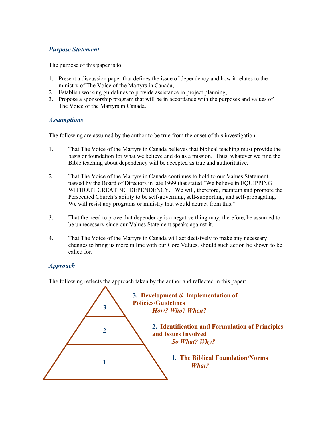## Purpose Statement

The purpose of this paper is to:

- 1. Present a discussion paper that defines the issue of dependency and how it relates to the ministry of The Voice of the Martyrs in Canada,
- 2. Establish working guidelines to provide assistance in project planning,
- 3. Propose a sponsorship program that will be in accordance with the purposes and values of The Voice of the Martyrs in Canada.

#### **Assumptions**

The following are assumed by the author to be true from the onset of this investigation:

- 1. That The Voice of the Martyrs in Canada believes that biblical teaching must provide the basis or foundation for what we believe and do as a mission. Thus, whatever we find the Bible teaching about dependency will be accepted as true and authoritative.
- 2. That The Voice of the Martyrs in Canada continues to hold to our Values Statement passed by the Board of Directors in late 1999 that stated "We believe in EQUIPPING WITHOUT CREATING DEPENDENCY. We will, therefore, maintain and promote the Persecuted Church's ability to be self-governing, self-supporting, and self-propagating. We will resist any programs or ministry that would detract from this."
- 3. That the need to prove that dependency is a negative thing may, therefore, be assumed to be unnecessary since our Values Statement speaks against it.
- 4. That The Voice of the Martyrs in Canada will act decisively to make any necessary changes to bring us more in line with our Core Values, should such action be shown to be called for.

### Approach

The following reflects the approach taken by the author and reflected in this paper:

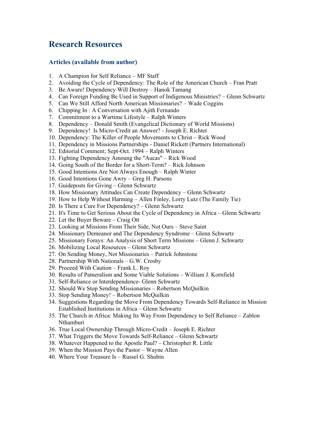# Research Resources

#### Articles (available from author)

- 1. A Champion for Self Reliance MF Staff
- 2. Avoiding the Cycle of Dependency: The Role of the American Church Fran Pratt
- 3. Be Aware! Dependency Will Destroy Hanok Tamang
- 4. Can Foreign Funding Be Used in Support of Indigenous Ministries? Glenn Schwartz
- 5. Can We Still Afford North American Missionaries? Wade Coggins
- 6. Chipping In : A Conversation with Ajith Fernando
- 7. Commitment to a Wartime Lifestyle Ralph Winters
- 8. Dependency Donald Smith (Evangelical Dictionary of World Missions)
- 9. Dependency! Is Micro-Credit an Answer? Joseph E. Richter
- 10. Dependency: The Killer of People Movements to Christ Rick Wood
- 11. Dependency in Missions Partnerships Daniel Rickett (Partners International)
- 12. Editorial Comment; Sept-Oct. 1994 Ralph Winters
- 13. Fighting Dependency Amoung the "Aucas" Rick Wood
- 14. Going South of the Border for a Short-Term? Rick Johnson
- 15. Good Intentions Are Not Always Enough Ralph Winter
- 16. Good Intentions Gone Awry Greg H. Parsons
- 17. Guideposts for Giving Glenn Schwartz
- 18. How Missionary Attitudes Can Create Dependency Glenn Schwartz
- 19. How to Help Without Harming Allen Finley, Lorry Lutz (The Family Tie)
- 20. Is There a Cure For Dependency? Glenn Schwartz
- 21. It's Time to Get Serious About the Cycle of Dependency in Africa Glenn Schwartz
- 22. Let the Buyer Beware Craig Ott
- 23. Looking at Missions From Their Side, Not Ours Steve Saint
- 24. Missionary Demeanor and The Dependency Syndrome Glenn Schwartz
- 25. Missionary Forays: An Analysis of Short Term Missions Glenn J. Schwartz
- 26. Mobilizing Local Resources Glenn Schwartz
- 27. On Sending Money, Not Missionaries Patrick Johnstone
- 28. Partnership With Nationals G.W. Crosby
- 29. Proceed With Caution Frank L. Roy
- 30. Results of Patneralism and Some Viable Solutions William J. Kornfield
- 31. Self-Reliance or Interdependence- Glenn Schwartz
- 32. Should We Stop Sending Missionaries Robertson McQuilkin
- 33. Stop Sending Money! Robertson McQuilkin
- 34. Suggestions Regarding the Move From Dependency Towards Self-Reliance in Mission Established Institutions in Africa – Glenn Schwartz
- 35. The Church in Africa: Making Its Way From Dependency to Self Reliance Zablon Nthamburi
- 36. True Local Ownership Through Micro-Credit Joseph E. Richter
- 37. What Triggers the Move Towards Self-Reliance Glenn Schwartz
- 38. Whatever Happened to the Apostle Paul? Christopher R. Little
- 39. When the Mission Pays the Pastor Wayne Allen
- 40. Where Your Treasure Is Russel G. Shubin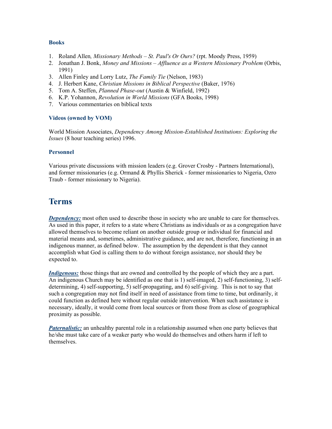#### Books

- 1. Roland Allen, Missionary Methods St. Paul's Or Ours? (rpt. Moody Press, 1959)
- 2. Jonathan J. Bonk, Money and Missions Affluence as a Western Missionary Problem (Orbis, 1991)
- 3. Allen Finley and Lorry Lutz, The Family Tie (Nelson, 1983)
- 4. J. Herbert Kane, Christian Missions in Biblical Perspective (Baker, 1976)
- 5. Tom A. Steffen, *Planned Phase-out* (Austin & Winfield, 1992)
- 6. K.P. Yohannon, Revolution in World Missions (GFA Books, 1998)
- 7. Various commentaries on biblical texts

#### Videos (owned by VOM)

World Mission Associates, Dependency Among Mission-Established Institutions: Exploring the Issues (8 hour teaching series) 1996.

#### Personnel

Various private discussions with mission leaders (e.g. Grover Crosby - Partners International), and former missionaries (e.g. Ormand & Phyllis Sherick - former missionaries to Nigeria, Ozro Traub - former missionary to Nigeria).

# Terms

**Dependency:** most often used to describe those in society who are unable to care for themselves. As used in this paper, it refers to a state where Christians as individuals or as a congregation have allowed themselves to become reliant on another outside group or individual for financial and material means and, sometimes, administrative guidance, and are not, therefore, functioning in an indigenous manner, as defined below. The assumption by the dependent is that they cannot accomplish what God is calling them to do without foreign assistance, nor should they be expected to.

Indigenous: those things that are owned and controlled by the people of which they are a part. An indigenous Church may be identified as one that is 1) self-imaged, 2) self-functioning, 3) selfdetermining, 4) self-supporting, 5) self-propagating, and 6) self-giving. This is not to say that such a congregation may not find itself in need of assistance from time to time, but ordinarily, it could function as defined here without regular outside intervention. When such assistance is necessary, ideally, it would come from local sources or from those from as close of geographical proximity as possible.

**Paternalistic:** an unhealthy parental role in a relationship assumed when one party believes that he/she must take care of a weaker party who would do themselves and others harm if left to themselves.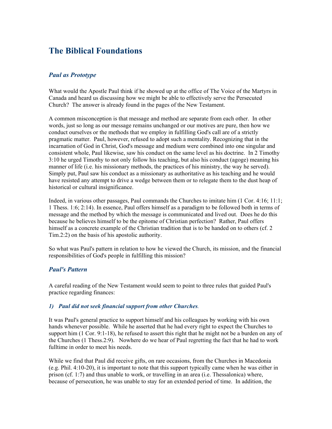# The Biblical Foundations

#### Paul as Prototype

What would the Apostle Paul think if he showed up at the office of The Voice of the Martyrs in Canada and heard us discussing how we might be able to effectively serve the Persecuted Church? The answer is already found in the pages of the New Testament.

A common misconception is that message and method are separate from each other. In other words, just so long as our message remains unchanged or our motives are pure, then how we conduct ourselves or the methods that we employ in fulfilling God's call are of a strictly pragmatic matter. Paul, however, refused to adopt such a mentality. Recognizing that in the incarnation of God in Christ, God's message and medium were combined into one singular and consistent whole, Paul likewise, saw his conduct on the same level as his doctrine. In 2 Timothy 3:10 he urged Timothy to not only follow his teaching, but also his conduct (agoge) meaning his manner of life (i.e. his missionary methods, the practices of his ministry, the way he served). Simply put, Paul saw his conduct as a missionary as authoritative as his teaching and he would have resisted any attempt to drive a wedge between them or to relegate them to the dust heap of historical or cultural insignificance.

Indeed, in various other passages, Paul commands the Churches to imitate him (1 Cor. 4:16; 11:1; 1 Thess. 1:6; 2:14). In essence, Paul offers himself as a paradigm to be followed both in terms of message and the method by which the message is communicated and lived out. Does he do this because he believes himself to be the epitome of Christian perfection? Rather, Paul offers himself as a concrete example of the Christian tradition that is to be handed on to others (cf. 2 Tim.2:2) on the basis of his apostolic authority.

So what was Paul's pattern in relation to how he viewed the Church, its mission, and the financial responsibilities of God's people in fulfilling this mission?

#### Paul's Pattern

A careful reading of the New Testament would seem to point to three rules that guided Paul's practice regarding finances:

#### 1) Paul did not seek financial support from other Churches.

It was Paul's general practice to support himself and his colleagues by working with his own hands whenever possible. While he asserted that he had every right to expect the Churches to support him (1 Cor. 9:1-18), he refused to assert this right that he might not be a burden on any of the Churches (1 Thess.2:9). Nowhere do we hear of Paul regretting the fact that he had to work fulltime in order to meet his needs.

While we find that Paul did receive gifts, on rare occasions, from the Churches in Macedonia (e.g. Phil. 4:10-20), it is important to note that this support typically came when he was either in prison (cf. 1:7) and thus unable to work, or travelling in an area (i.e. Thessalonica) where, because of persecution, he was unable to stay for an extended period of time. In addition, the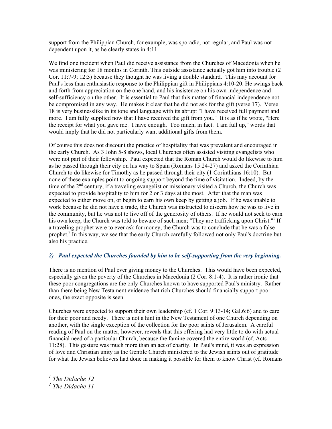support from the Philippian Church, for example, was sporadic, not regular, and Paul was not dependent upon it, as he clearly states in 4:11.

We find one incident when Paul did receive assistance from the Churches of Macedonia when he was ministering for 18 months in Corinth. This outside assistance actually got him into trouble (2 Cor. 11:7-9; 12:3) because they thought he was living a double standard. This may account for Paul's less than enthusiastic response to the Philippian gift in Philippians 4:10-20. He swings back and forth from appreciation on the one hand, and his insistence on his own independence and self-sufficiency on the other. It is essential to Paul that this matter of financial independence not be compromised in any way. He makes it clear that he did not ask for the gift (verse 17). Verse 18 is very businesslike in its tone and language with its abrupt "I have received full payment and more. I am fully supplied now that I have received the gift from you." It is as if he wrote, "Here the receipt for what you gave me. I have enough. Too much, in fact. I am full up," words that would imply that he did not particularly want additional gifts from them.

Of course this does not discount the practice of hospitality that was prevalent and encouraged in the early Church. As 3 John 5-8 shows, local Churches often assisted visiting evangelists who were not part of their fellowship. Paul expected that the Roman Church would do likewise to him as he passed through their city on his way to Spain (Romans 15:24-27) and asked the Corinthian Church to do likewise for Timothy as he passed through their city (1 Corinthians 16:10). But none of these examples point to ongoing support beyond the time of visitation. Indeed, by the time of the  $2<sup>nd</sup>$  century, if a traveling evangelist or missionary visited a Church, the Church was expected to provide hospitality to him for 2 or 3 days at the most. After that the man was expected to either move on, or begin to earn his own keep by getting a job. If he was unable to work because he did not have a trade, the Church was instructed to discern how he was to live in the community, but he was not to live off of the generosity of others. If he would not seek to earn his own keep, the Church was told to beware of such men; "They are trafficking upon Christ."<sup>1</sup> If a traveling prophet were to ever ask for money, the Church was to conclude that he was a false prophet.<sup>2</sup> In this way, we see that the early Church carefully followed not only Paul's doctrine but also his practice.

#### 2) Paul expected the Churches founded by him to be self-supporting from the very beginning.

There is no mention of Paul ever giving money to the Churches. This would have been expected, especially given the poverty of the Churches in Macedonia (2 Cor. 8:1-4). It is rather ironic that these poor congregations are the only Churches known to have supported Paul's ministry. Rather than there being New Testament evidence that rich Churches should financially support poor ones, the exact opposite is seen.

Churches were expected to support their own leadership (cf. 1 Cor. 9:13-14; Gal.6:6) and to care for their poor and needy. There is not a hint in the New Testament of one Church depending on another, with the single exception of the collection for the poor saints of Jerusalem. A careful reading of Paul on the matter, however, reveals that this offering had very little to do with actual financial need of a particular Church, because the famine covered the entire world (cf. Acts 11:28). This gesture was much more than an act of charity. In Paul's mind, it was an expression of love and Christian unity as the Gentile Church ministered to the Jewish saints out of gratitude for what the Jewish believers had done in making it possible for them to know Christ (cf. Romans

 $\overline{a}$ 

 $<sup>1</sup>$  The Didache 12</sup>

<sup>&</sup>lt;sup>2</sup> The Didache 11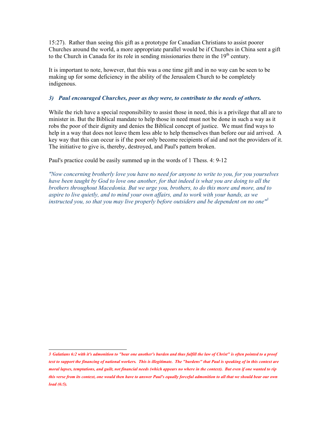15:27). Rather than seeing this gift as a prototype for Canadian Christians to assist poorer Churches around the world, a more appropriate parallel would be if Churches in China sent a gift to the Church in Canada for its role in sending missionaries there in the  $19<sup>th</sup>$  century.

It is important to note, however, that this was a one time gift and in no way can be seen to be making up for some deficiency in the ability of the Jerusalem Church to be completely indigenous.

#### 3) Paul encouraged Churches, poor as they were, to contribute to the needs of others.

While the rich have a special responsibility to assist those in need, this is a privilege that all are to minister in. But the Biblical mandate to help those in need must not be done in such a way as it robs the poor of their dignity and denies the Biblical concept of justice. We must find ways to help in a way that does not leave them less able to help themselves than before our aid arrived. A key way that this can occur is if the poor only become recipients of aid and not the providers of it. The initiative to give is, thereby, destroyed, and Paul's pattern broken.

Paul's practice could be easily summed up in the words of 1 Thess. 4: 9-12

"Now concerning brotherly love you have no need for anyone to write to you, for you yourselves have been taught by God to love one another, for that indeed is what you are doing to all the brothers throughout Macedonia. But we urge you, brothers, to do this more and more, and to aspire to live quietly, and to mind your own affairs, and to work with your hands, as we instructed you, so that you may live properly before outsiders and be dependent on no one<sup>n3</sup>

 3 Galatians 6:2 with it's admonition to "bear one another's burden and thus fulfill the law of Christ" is often pointed to a proof text to support the financing of national workers. This is illegitimate. The "burdens" that Paul is speaking of in this context are moral lapses, temptations, and guilt, not financial needs (which appears no where in the context). But even if one wanted to rip this verse from its context, one would then have to answer Paul's equally forceful admonition to all that we should bear our own load (6:5).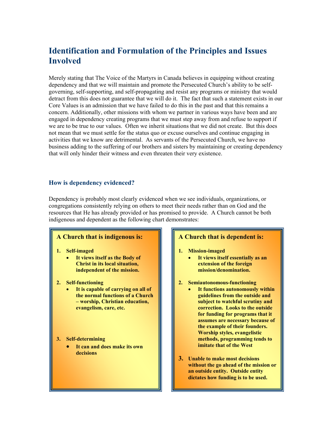# Identification and Formulation of the Principles and Issues **Involved**

Merely stating that The Voice of the Martyrs in Canada believes in equipping without creating dependency and that we will maintain and promote the Persecuted Church's ability to be selfgoverning, self-supporting, and self-propagating and resist any programs or ministry that would detract from this does not guarantee that we will do it. The fact that such a statement exists in our Core Values is an admission that we have failed to do this in the past and that this remains a concern. Additionally, other missions with whom we partner in various ways have been and are engaged in dependency creating programs that we must step away from and refuse to support if we are to be true to our values. Often we inherit situations that we did not create. But this does not mean that we must settle for the status quo or excuse ourselves and continue engaging in activities that we know are detrimental. As servants of the Persecuted Church, we have no business adding to the suffering of our brothers and sisters by maintaining or creating dependency that will only hinder their witness and even threaten their very existence.

### How is dependency evidenced?

Dependency is probably most clearly evidenced when we see individuals, organizations, or congregations consistently relying on others to meet their needs rather than on God and the resources that He has already provided or has promised to provide. A Church cannot be both indigenous and dependent as the following chart demonstrates:

#### A Church that is indigenous is:

#### 1. Self-imaged

- It views itself as the Body of Christ in its local situation, independent of the mission.
- 2. Self-functioning
	- It is capable of carrying on all of the normal functions of a Church – worship, Christian education, evangelism, care, etc.
- 3. Self-determining
	- It can and does make its own decisions

#### A Church that is dependent is:

#### 1. Mission-imaged

- It views itself essentially as an extension of the foreign mission/denomination.
- 2. Semiautonomous-functioning
	- It functions autonomously within guidelines from the outside and subject to watchful scrutiny and correction. Looks to the outside for funding for programs that it assumes are necessary because of the example of their founders. Worship styles, evangelistic methods, programming tends to imitate that of the West
- 3. Unable to make most decisions without the go ahead of the mission or an outside entity. Outside entity dictates how funding is to be used.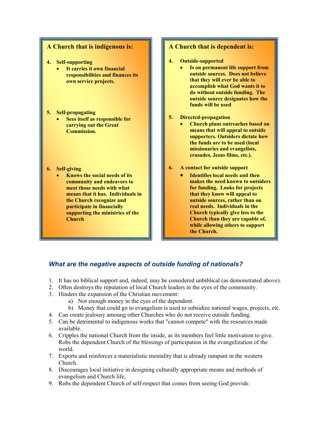#### A Church that is indigenous is:

- 4. Self-supporting
	- It carries it own financial responsibilities and finances its own service projects.
- 5. Self-propagating
	- Sees itself as responsible for carrying out the Great Commission.
- 6. Self-giving
	- Knows the social needs of its community and endeavors to meet those needs with what means that it has. Individuals in the Church recognize and participate in financially supporting the ministries of the Church

#### A Church that is dependent is:

- 4. Outside-supported
	- Is on permanent life support from outside sources. Does not believe that they will ever be able to accomplish what God wants it to do without outside funding. The outside source designates how the funds will be used
- 5. Directed-propagation
	- Church plans outreaches based on means that will appeal to outside supporters. Outsiders dictate how the funds are to be used (local missionaries and evangelists, crusades, Jesus films, etc.).
- 6. A contact for outside support
	- Identifies local needs and then makes the need known to outsiders for funding. Looks for projects that they know will appeal to outside sources, rather than on real needs. Individuals in the Church typically give less to the Church than they are capable of, while allowing others to support the Church.

## What are the negative aspects of outside funding of nationals?

- 1. It has no biblical support and, indeed, may be considered unbiblical (as demonstrated above).
- 2. Often destroys the reputation of local Church leaders in the eyes of the community.
- 3. Hinders the expansion of the Christian movement:
	- a) Not enough money in the eyes of the dependent.
	- b) Money that could go to evangelism is used to subsidize national wages, projects, etc.
- 4. Can create jealousy amoung other Churches who do not receive outside funding.
- 5. Can be detrimental to indigenous works that "cannot compete" with the resources made available.
- 6. Cripples the national Church from the inside, as its members feel little motivation to give. Robs the dependent Church of the blessings of participation in the evangelization of the world.
- 7. Exports and reinforces a materialistic mentality that is already rampant in the western Church.
- 8. Discourages local initiative in designing culturally appropriate means and methods of evangelism and Church life.
- 9. Robs the dependent Church of self-respect that comes from seeing God provide.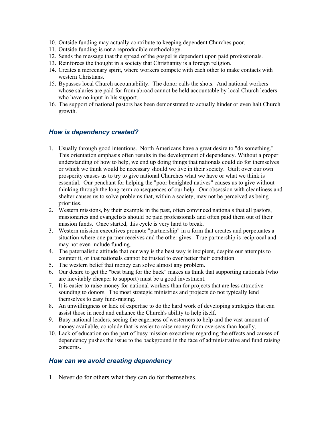- 10. Outside funding may actually contribute to keeping dependent Churches poor.
- 11. Outside funding is not a reproducible methodology.
- 12. Sends the message that the spread of the gospel is dependent upon paid professionals.
- 13. Reinforces the thought in a society that Christianity is a foreign religion.
- 14. Creates a mercenary spirit, where workers compete with each other to make contacts with western Christians.
- 15. Bypasses local Church accountability. The donor calls the shots. And national workers whose salaries are paid for from abroad cannot be held accountable by local Church leaders who have no input in his support.
- 16. The support of national pastors has been demonstrated to actually hinder or even halt Church growth.

### How is dependency created?

- 1. Usually through good intentions. North Americans have a great desire to "do something." This orientation emphasis often results in the development of dependency. Without a proper understanding of how to help, we end up doing things that nationals could do for themselves or which we think would be necessary should we live in their society. Guilt over our own prosperity causes us to try to give national Churches what we have or what we think is essential. Our penchant for helping the "poor benighted natives" causes us to give without thinking through the long-term consequences of our help. Our obsession with cleanliness and shelter causes us to solve problems that, within a society, may not be perceived as being priorities.
- 2. Western missions, by their example in the past, often convinced nationals that all pastors, missionaries and evangelists should be paid professionals and often paid them out of their mission funds. Once started, this cycle is very hard to break.
- 3. Western mission executives promote "partnership" in a form that creates and perpetuates a situation where one partner receives and the other gives. True partnership is reciprocal and may not even include funding.
- 4. The paternalistic attitude that our way is the best way is incipient, despite our attempts to counter it, or that nationals cannot be trusted to ever better their condition.
- 5. The western belief that money can solve almost any problem.
- 6. Our desire to get the "best bang for the buck" makes us think that supporting nationals (who are inevitably cheaper to support) must be a good investment.
- 7. It is easier to raise money for national workers than for projects that are less attractive sounding to donors. The most strategic ministries and projects do not typically lend themselves to easy fund-raising.
- 8. An unwillingness or lack of expertise to do the hard work of developing strategies that can assist those in need and enhance the Church's ability to help itself.
- 9. Busy national leaders, seeing the eagerness of westerners to help and the vast amount of money available, conclude that is easier to raise money from overseas than locally.
- 10. Lack of education on the part of busy mission executives regarding the effects and causes of dependency pushes the issue to the background in the face of administrative and fund raising concerns.

#### How can we avoid creating dependency

1. Never do for others what they can do for themselves.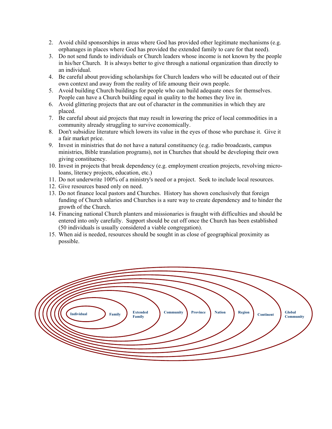- 2. Avoid child sponsorships in areas where God has provided other legitimate mechanisms (e.g. orphanages in places where God has provided the extended family to care for that need).
- 3. Do not send funds to individuals or Church leaders whose income is not known by the people in his/her Church. It is always better to give through a national organization than directly to an individual.
- 4. Be careful about providing scholarships for Church leaders who will be educated out of their own context and away from the reality of life amoung their own people.
- 5. Avoid building Church buildings for people who can build adequate ones for themselves. People can have a Church building equal in quality to the homes they live in.
- 6. Avoid glittering projects that are out of character in the communities in which they are placed.
- 7. Be careful about aid projects that may result in lowering the price of local commodities in a community already struggling to survive economically.
- 8. Don't subsidize literature which lowers its value in the eyes of those who purchase it. Give it a fair market price.
- 9. Invest in ministries that do not have a natural constituency (e.g. radio broadcasts, campus ministries, Bible translation programs), not in Churches that should be developing their own giving constituency.
- 10. Invest in projects that break dependency (e.g. employment creation projects, revolving microloans, literacy projects, education, etc.)
- 11. Do not underwrite 100% of a ministry's need or a project. Seek to include local resources.
- 12. Give resources based only on need.
- 13. Do not finance local pastors and Churches. History has shown conclusively that foreign funding of Church salaries and Churches is a sure way to create dependency and to hinder the growth of the Church.
- 14. Financing national Church planters and missionaries is fraught with difficulties and should be entered into only carefully. Support should be cut off once the Church has been established (50 individuals is usually considered a viable congregation).
- 15. When aid is needed, resources should be sought in as close of geographical proximity as possible.

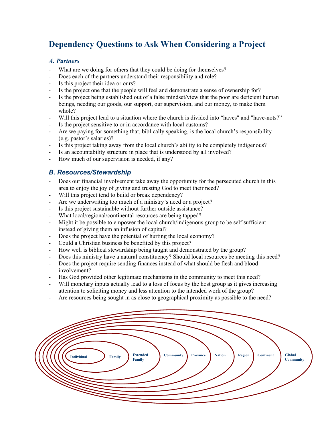# Dependency Questions to Ask When Considering a Project

### A. Partners

- What are we doing for others that they could be doing for themselves?
- Does each of the partners understand their responsibility and role?
- Is this project their idea or ours?
- Is the project one that the people will feel and demonstrate a sense of ownership for?
- Is the project being established out of a false mindset/view that the poor are deficient human beings, needing our goods, our support, our supervision, and our money, to make them whole?
- Will this project lead to a situation where the church is divided into "haves" and "have-nots?"
- Is the project sensitive to or in accordance with local customs?
- Are we paying for something that, biblically speaking, is the local church's responsibility (e.g. pastor's salaries)?
- Is this project taking away from the local church's ability to be completely indigenous?
- Is an accountability structure in place that is understood by all involved?
- How much of our supervision is needed, if any?

## B. Resources/Stewardship

- Does our financial involvement take away the opportunity for the persecuted church in this area to enjoy the joy of giving and trusting God to meet their need?
- Will this project tend to build or break dependency?
- Are we underwriting too much of a ministry's need or a project?
- Is this project sustainable without further outside assistance?
- What local/regional/continental resources are being tapped?
- Might it be possible to empower the local church/indigenous group to be self sufficient instead of giving them an infusion of capital?
- Does the project have the potential of hurting the local economy?
- Could a Christian business be benefited by this project?
- How well is biblical stewardship being taught and demonstrated by the group?
- Does this ministry have a natural constituency? Should local resources be meeting this need?
- Does the project require sending finances instead of what should be flesh and blood involvement?
- Has God provided other legitimate mechanisms in the community to meet this need?
- Will monetary inputs actually lead to a loss of focus by the host group as it gives increasing attention to soliciting money and less attention to the intended work of the group?
- Are resources being sought in as close to geographical proximity as possible to the need?